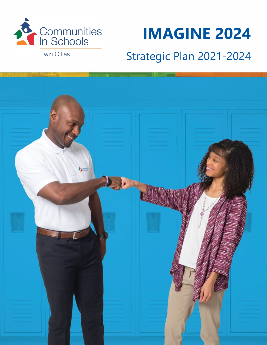

# **IMAGINE 2024**

## Strategic Plan 2021-2024

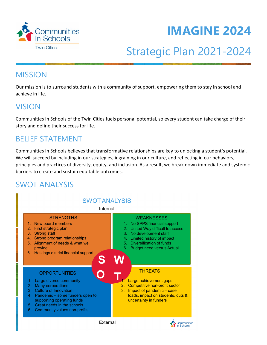



## Strategic Plan 2021-2024

### **MISSION**

Our mission is to surround students with a community of support, empowering them to stay in school and achieve in life.

### VISION

Communities In Schools of the Twin Cities fuels personal potential, so every student can take charge of their story and define their success for life.

### BELIEF STATEMENT

Communities In Schools believes that transformative relationships are key to unlocking a student's potential. We will succeed by including in our strategies, ingraining in our culture, and reflecting in our behaviors, principles and practices of diversity, equity, and inclusion. As a result, we break down immediate and systemic barriers to create and sustain equitable outcomes.

## SWOT ANALYSIS

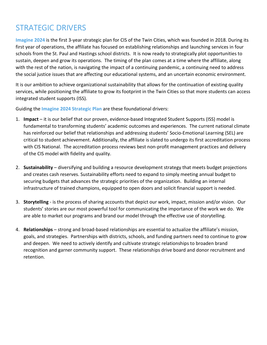## STRATEGIC DRIVERS

**Imagine 2024** is the first 3-year strategic plan for CIS of the Twin Cities, which was founded in 2018. During its first year of operations, the affiliate has focused on establishing relationships and launching services in four schools from the St. Paul and Hastings school districts. It is now ready to strategically plot opportunities to sustain, deepen and grow its operations. The timing of the plan comes at a time where the affiliate, along with the rest of the nation, is navigating the impact of a continuing pandemic, a continuing need to address the social justice issues that are affecting our educational systems, and an uncertain economic environment.

It is our ambition to achieve organizational sustainability that allows for the continuation of existing quality services, while positioning the affiliate to grow its footprint in the Twin Cities so that more students can access integrated student supports (ISS).

Guiding the **Imagine 2024 Strategic Plan** are these foundational drivers:

- 1. **Impact** it is our belief that our proven, evidence-based Integrated Student Supports (ISS) model is fundamental to transforming students' academic outcomes and experiences. The current national climate has reinforced our belief that relationships and addressing students' Socio-Emotional Learning (SEL) are critical to student achievement. Additionally, the affiliate is slated to undergo its first accreditation process with CIS National. The accreditation process reviews best non-profit management practices and delivery of the CIS model with fidelity and quality.
- 2. **Sustainability** diversifying and building a resource development strategy that meets budget projections and creates cash reserves. Sustainability efforts need to expand to simply meeting annual budget to securing budgets that advances the strategic priorities of the organization. Building an internal infrastructure of trained champions, equipped to open doors and solicit financial support is needed.
- 3. **Storytelling**  is the process of sharing accounts that depict our work, impact, mission and/or vision. Our students' stories are our most powerful tool for communicating the importance of the work we do. We are able to market our programs and brand our model through the effective use of storytelling.
- 4. **Relationships** strong and broad-based relationships are essential to actualize the affiliate's mission, goals, and strategies. Partnerships with districts, schools, and funding partners need to continue to grow and deepen. We need to actively identify and cultivate strategic relationships to broaden brand recognition and garner community support. These relationships drive board and donor recruitment and retention.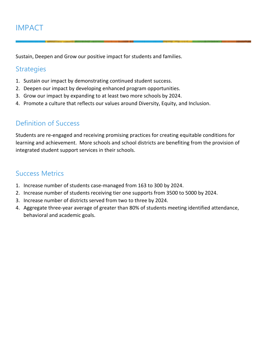## IMPACT

Sustain, Deepen and Grow our positive impact for students and families.

#### **Strategies**

- 1. Sustain our impact by demonstrating continued student success.
- 2. Deepen our impact by developing enhanced program opportunities.
- 3. Grow our impact by expanding to at least two more schools by 2024.
- 4. Promote a culture that reflects our values around Diversity, Equity, and Inclusion.

#### Definition of Success

Students are re-engaged and receiving promising practices for creating equitable conditions for learning and achievement. More schools and school districts are benefiting from the provision of integrated student support services in their schools.

- 1. Increase number of students case-managed from 163 to 300 by 2024.
- 2. Increase number of students receiving tier one supports from 3500 to 5000 by 2024.
- 3. Increase number of districts served from two to three by 2024.
- 4. Aggregate three-year average of greater than 80% of students meeting identified attendance, behavioral and academic goals.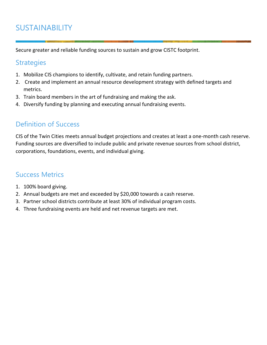## SUSTAINABILITY

Secure greater and reliable funding sources to sustain and grow CISTC footprint.

#### **Strategies**

- 1. Mobilize CIS champions to identify, cultivate, and retain funding partners.
- 2. Create and implement an annual resource development strategy with defined targets and metrics.
- 3. Train board members in the art of fundraising and making the ask.
- 4. Diversify funding by planning and executing annual fundraising events.

#### Definition of Success

CIS of the Twin Cities meets annual budget projections and creates at least a one-month cash reserve. Funding sources are diversified to include public and private revenue sources from school district, corporations, foundations, events, and individual giving.

- 1. 100% board giving.
- 2. Annual budgets are met and exceeded by \$20,000 towards a cash reserve.
- 3. Partner school districts contribute at least 30% of individual program costs.
- 4. Three fundraising events are held and net revenue targets are met.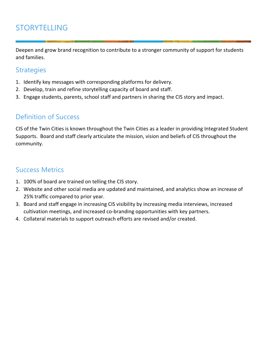## STORYTELLING

Deepen and grow brand recognition to contribute to a stronger community of support for students and families.

#### **Strategies**

- 1. Identify key messages with corresponding platforms for delivery.
- 2. Develop, train and refine storytelling capacity of board and staff.
- 3. Engage students, parents, school staff and partners in sharing the CIS story and impact.

#### Definition of Success

CIS of the Twin Cities is known throughout the Twin Cities as a leader in providing Integrated Student Supports. Board and staff clearly articulate the mission, vision and beliefs of CIS throughout the community.

- 1. 100% of board are trained on telling the CIS story.
- 2. Website and other social media are updated and maintained, and analytics show an increase of 25% traffic compared to prior year.
- 3. Board and staff engage in increasing CIS visibility by increasing media interviews, increased cultivation meetings, and increased co-branding opportunities with key partners.
- 4. Collateral materials to support outreach efforts are revised and/or created.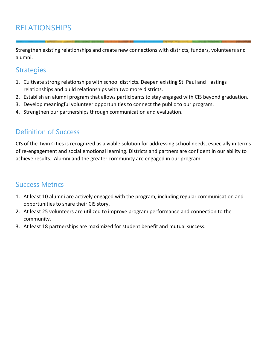## RELATIONSHIPS

Strengthen existing relationships and create new connections with districts, funders, volunteers and alumni.

#### **Strategies**

- 1. Cultivate strong relationships with school districts. Deepen existing St. Paul and Hastings relationships and build relationships with two more districts.
- 2. Establish an alumni program that allows participants to stay engaged with CIS beyond graduation.
- 3. Develop meaningful volunteer opportunities to connect the public to our program.
- 4. Strengthen our partnerships through communication and evaluation.

#### Definition of Success

CIS of the Twin Cities is recognized as a viable solution for addressing school needs, especially in terms of re-engagement and social emotional learning. Districts and partners are confident in our ability to achieve results. Alumni and the greater community are engaged in our program.

- 1. At least 10 alumni are actively engaged with the program, including regular communication and opportunities to share their CIS story.
- 2. At least 25 volunteers are utilized to improve program performance and connection to the community.
- 3. At least 18 partnerships are maximized for student benefit and mutual success.